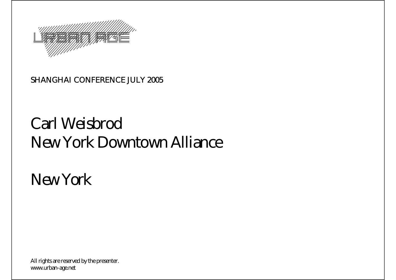

#### SHANGHAI CONFERENCE JULY 2005

### Carl WeisbrodNew York Downtown Alliance

*New York*

All rights are reserved by the presenter. www.urban-age.net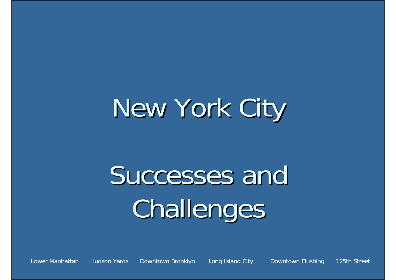# New York City

# Successes and Challenges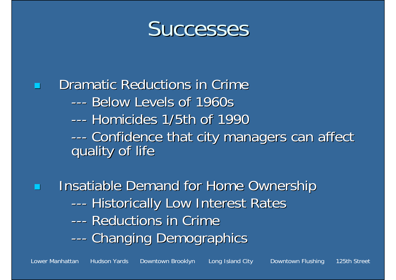

Dramatic Reductions in Crime ------ Below Levels of 1960s --- Homicides 1/5th of 1990 --- ------ Confidence that city managers can affect<br>quality of life

Ξ Insatiable Demand for Home Ownership --- ---- Historically Low Interest Rates ------ Reductions in Crime --- ---- Changing Demographics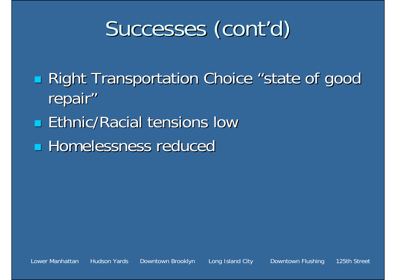## Successes (cont'd)

**Right Transportation Choice "state of good state State State State State State State State State State State S** repair"

**Ethnic/Racial tensions low** 

**Homelessness reduced**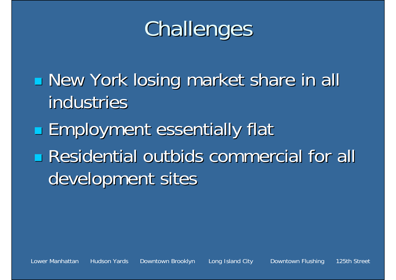## Challenges

T **New York losing market share in all New York losing market share in all** industries

**Employment essentially flat Residential outbids commercial for all Residential outbids commercial for all** development sites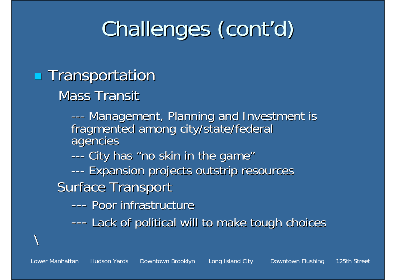## Challenges (cont'd)

### **Transportation**

Mass Transit

--- ---- Management, Planning and Investment is fragmented among city/state/federal<br>agencies

- --- ---- City has "no skin in the game'
- --- ---- Expansion projects outstrip resources
- **Surface Transport** 
	- ------ Poor infrastructure
	- --- ---- Lack of political will to make tough choices

 $\backslash$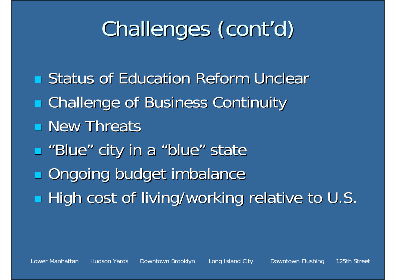## Challenges (cont'd)

**Earth** Status of Education Reform Unclear **E** Challenge of Business Continuity **New Threats**  $\blacksquare$  **"Blue" city in a "blue" state Ongoing budget imbalance High cost of living/working relative to U.S.**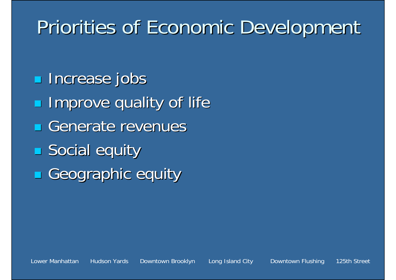### Priorities of Economic Development

- **Increase jobs**
- $\blacksquare$ Improve quality of life
- Generate revenues
- **Social equity**
- Geographic equity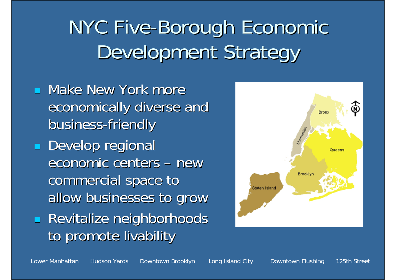### NYC Five-Borough Economic Development Strategy

**Nake New York more** economically diverse and business-friendly **Develop regional** economic centers – new commercial space to allow businesses to grow Ξ **Revitalize neighborhoods** to promote livability

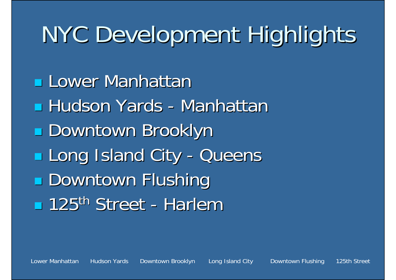# NYC Development Highlights

**Lower Manhattan Hudson Yards - Manhattan Manhattan** T Downtown Brooklyn Downtown Brooklyn **Long Island City - Queens - Downtown Flushing 125<sup>th</sup> Street - Harlem**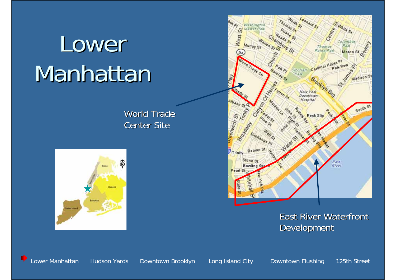# Lower Manhattan

World Trade Center Site





#### East River Waterfront **Development**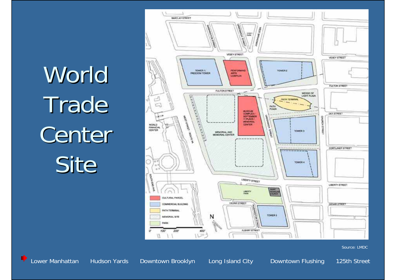World Trade Center Site



Source: LMDC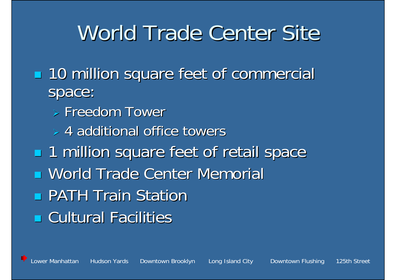### World Trade Center Site

- **10 million square feet of commercial** space:
	- $>$  Freedom Tower
	- $>$  4 additional office towers
- **1 million square feet of retail space u World Trade Center Memorial PATH Train Station E** Cultural Facilities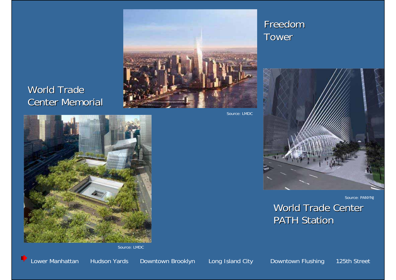

#### World Trade Center Memorial

Source: LMDC



Source: LMDC

**Lower Manhattan** Hudson Yards Downtown Brooklyn Long Island City Downtown Flushing 125th Street

Freedom

Tower

PATH Station

World Trade Center

Source: PANYNJ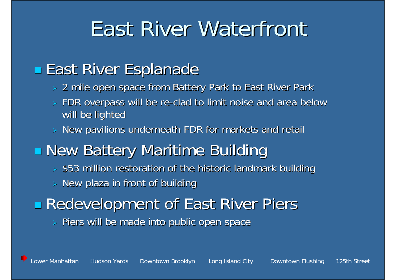### **East River Waterfront**

### **East River Esplanade**

- $\triangleright$  2 mile open space from Battery Park to East River Park
- ¾FDR overpass will be re-clad to limit noise and area below will be lighted
- New pavilions underneath FDR for markets and retail
- **New Battery Maritime Building** 
	- $>$  \$53 million restoration of the historic landmark building
	- ¾New plaza in front of building

### **Redevelopment of East River Piers**

¾Piers will be made into public open space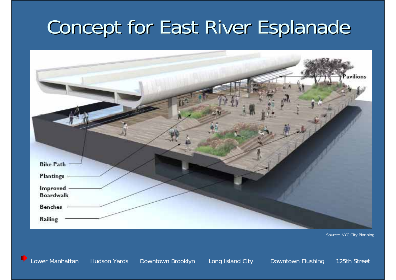### Concept for East River Esplanade



Source: NYC City Planning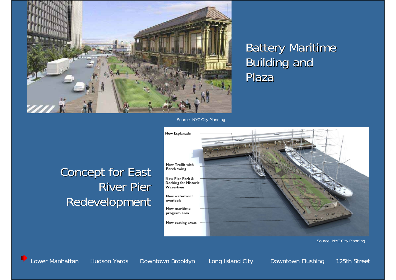

#### **Battery Maritime Building and** Plaza

Source: NYC City Planning

#### **Concept for East** River Pier Redevelopment



Source: NYC City Planning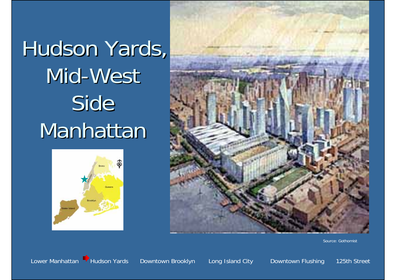Hudson Yards, Mid-West Side Manhattan





Source: Gothomist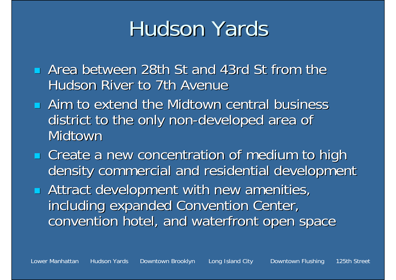### Hudson Yards

- **E** Area between 28th St and 43rd St from the Hudson River to 7th Avenue
- **E** Aim to extend the Midtown central business district to the only non-developed area of Midtown
- Ξ **EXT** Create a new concentration of medium to high density commercial and residential development
- Ξ **Attract development with new amenities,** including expanded Convention Center, convention hotel, and waterfront open space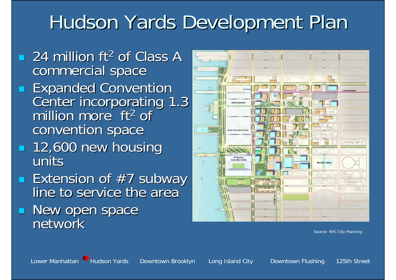### Hudson Yards Development Plan

- 24 million ft<sup>2</sup> of Class A commercial space
- Expanded Convention<br>Center incorporating 1.3<br>million more ft<sup>2</sup> of convention space
- 12,600 new housing 12,600 new housing units
- Extension of #7 subway<br>line to service the area
- **New open space<br>Network** network



Source: NYC City Planning